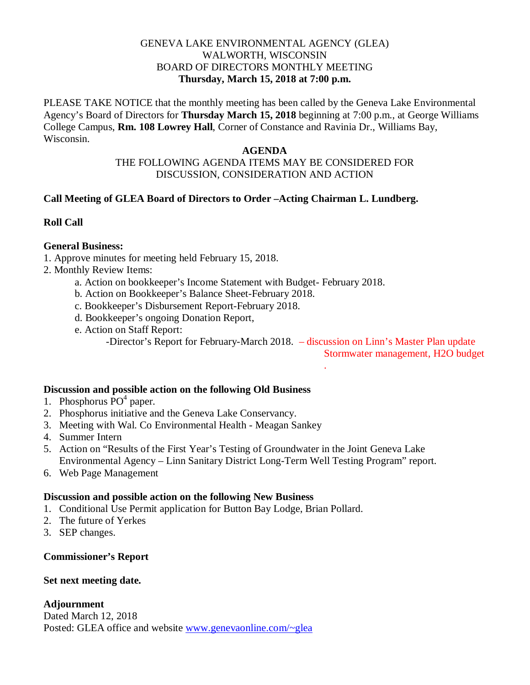# GENEVA LAKE ENVIRONMENTAL AGENCY (GLEA) WALWORTH, WISCONSIN BOARD OF DIRECTORS MONTHLY MEETING **Thursday, March 15, 2018 at 7:00 p.m.**

PLEASE TAKE NOTICE that the monthly meeting has been called by the Geneva Lake Environmental Agency's Board of Directors for **Thursday March 15, 2018** beginning at 7:00 p.m., at George Williams College Campus, **Rm. 108 Lowrey Hall**, Corner of Constance and Ravinia Dr., Williams Bay, Wisconsin.

### **AGENDA**

# THE FOLLOWING AGENDA ITEMS MAY BE CONSIDERED FOR DISCUSSION, CONSIDERATION AND ACTION

# **Call Meeting of GLEA Board of Directors to Order –Acting Chairman L. Lundberg.**

# **Roll Call**

# **General Business:**

- 1. Approve minutes for meeting held February 15, 2018.
- 2. Monthly Review Items:
	- a. Action on bookkeeper's Income Statement with Budget- February 2018.
	- b. Action on Bookkeeper's Balance Sheet-February 2018.
	- c. Bookkeeper's Disbursement Report-February 2018.
	- d. Bookkeeper's ongoing Donation Report,
	- e. Action on Staff Report:

-Director's Report for February-March 2018. – discussion on Linn's Master Plan update

.

Stormwater management, H2O budget

## **Discussion and possible action on the following Old Business**

- 1. Phosphorus  $\overline{P}O^4$  paper.
- 2. Phosphorus initiative and the Geneva Lake Conservancy.
- 3. Meeting with Wal. Co Environmental Health Meagan Sankey
- 4. Summer Intern
- 5. Action on "Results of the First Year's Testing of Groundwater in the Joint Geneva Lake Environmental Agency – Linn Sanitary District Long-Term Well Testing Program" report.
- 6. Web Page Management

### **Discussion and possible action on the following New Business**

- 1. Conditional Use Permit application for Button Bay Lodge, Brian Pollard.
- 2. The future of Yerkes
- 3. SEP changes.

**Commissioner's Report**

### **Set next meeting date.**

## **Adjournment**

Dated March 12, 2018 Posted: GLEA office and website [www.genevaonline.com/~glea](http://www.genevaonline.com/~glea)